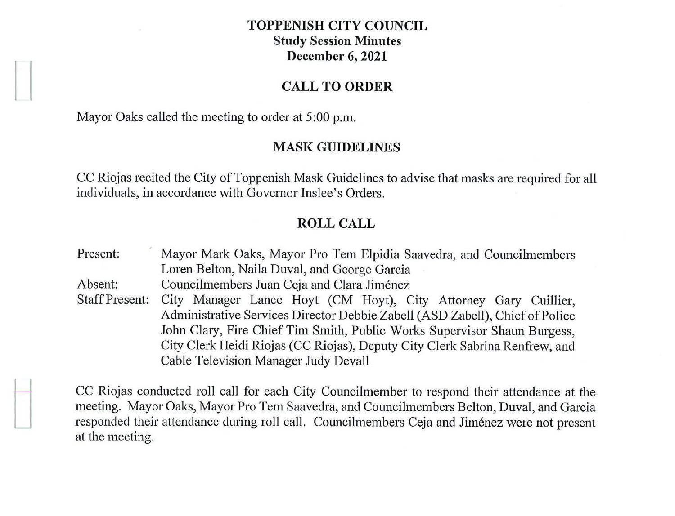### **TOPPENISH CITY COUNCIL Study Session Minutes December 6, 2021**

#### **CALL TO ORDER**

Mayor Oaks called the meeting to order at 5:00 p.m.

#### **MASK GUIDELINES**

CC Riojas recited the City of Toppenish Mask Guidelines to advise that masks are required for all individuals, in accordance with Governor Inslee's Orders.

### **ROLL CALL**

Present: Mayor Mark Oaks, Mayor Pro Tem Elpidia Saavedra, and Councilmembers Loren Belton, Naila Duval, and George Garcia Absent: Councilmembers Juan Ceja and Clara Jiménez Staff Present: City Manager Lance Hoyt (CM Hoyt), City Attorney Gary Cuillier, Administrative Services Director Debbie Zabell (ASD Zabell), Chief of Police John Clary, Fire Chief Tim Smith, Public Works Supervisor Shaun Burgess, City Clerk Heidi Riojas (CC Riojas), Deputy City Clerk Sabrina Renfrew, and Cable Television Manager Judy Devall

CC Riojas conducted roll call for each City Councilmember to respond their attendance at the meeting. Mayor Oaks, Mayor Pro Tern Saavedra, and Councilmembers Belton, Duval, and Garcia responded their attendance during roll call. Councilmembers Ceja and Jimenez were not present at the meeting.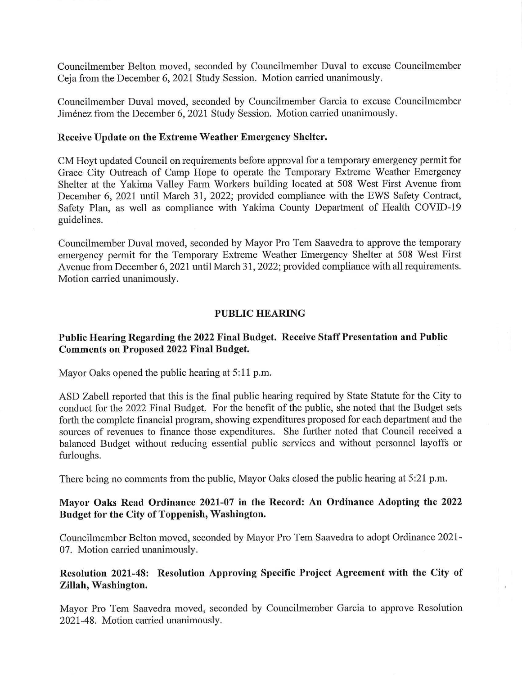Councilmember Duval moved, seconded by Councilmember Garcia to excuse Councilmember Jimenez from the December 6, 2021 Study Session. Motion carried unanimously.

### **Receive Update on the Extreme Weather Emergency Shelter.**

CM Hoyt updated Council on requirements before approval for a temporary emergency permit for Grace City Outreach of Camp Hope to operate the Temporary Extreme Weather Emergency Shelter at the Yakima Valley Farm Workers building located at 508 West First Avenue from December 6, 2021 until March 31, 2022; provided compliance with the EWS Safety Contract, Safety Plan, as well as compliance with Yakima County Department of Health COVID-19 guidelines.

Councilmember Duval moved, seconded by Mayor Pro Tem Saavedra to approve the temporary emergency permit for the Temporary Extreme Weather Emergency Shelter at 508 West First Avenue from December 6, 2021 until March 31, 2022; provided compliance with all requirements. Motion carried unanimously.

## **PUBLIC HEARING**

# **Public Hearing Regarding the 2022 Final Budget. Receive Staff Presentation and Public Comments on Proposed 2022 Final Budget.**

Mayor Oaks opened the public hearing at 5:11 p.m.

ASD Zabell reported that this is the final public hearing required by State Statute for the City to conduct for the 2022 Final Budget. For the benefit of the public, she noted that the Budget sets forth the complete financial program, showing expenditures proposed for each department and the sources of revenues to finance those expenditures. She further noted that Council received a balanced Budget without reducing essential public services and without personnel layoffs or furloughs.

There being no comments from the public, Mayor Oaks closed the public hearing at 5:21 p.m.

## **Mayor Oaks Read Ordinance 2021-07 in the Record: An Ordinance Adopting the 2022 Budget for the City of Toppenish, Washington.**

Councilmember Belton moved, seconded by Mayor Pro Tem Saavedra to adopt Ordinance 2021 - 07. Motion carried unanimously.

# **Resolution 2021-48: Resolution Approving Specific Project Agreement with the City of Zillah, Washington.**

Mayor Pro Tem Saavedra moved, seconded by Councilmember Garcia to approve Resolution 2021-48. Motion carried unanimously.